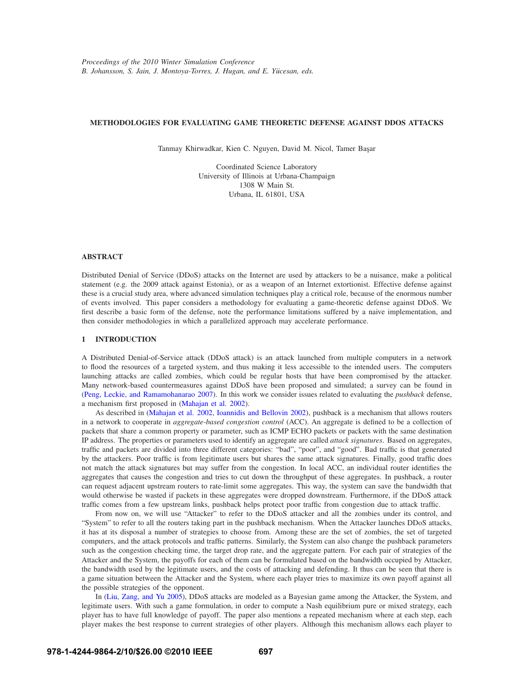## **METHODOLOGIES FOR EVALUATING GAME THEORETIC DEFENSE AGAINST DDOS ATTACKS**

Tanmay Khirwadkar, Kien C. Nguyen, David M. Nicol, Tamer Başar

Coordinated Science Laboratory University of Illinois at Urbana-Champaign 1308 W Main St. Urbana, IL 61801, USA

## **ABSTRACT**

Distributed Denial of Service (DDoS) attacks on the Internet are used by attackers to be a nuisance, make a political statement (e.g. the 2009 attack against Estonia), or as a weapon of an Internet extortionist. Effective defense against these is a crucial study area, where advanced simulation techniques play a critical role, because of the enormous number of events involved. This paper considers a methodology for evaluating a game-theoretic defense against DDoS. We first describe a basic form of the defense, note the performance limitations suffered by a naive implementation, and then consider methodologies in which a parallelized approach may accelerate performance.

## **1 INTRODUCTION**

A Distributed Denial-of-Service attack (DDoS attack) is an attack launched from multiple computers in a network to flood the resources of a targeted system, and thus making it less accessible to the intended users. The computers launching attacks are called zombies, which could be regular hosts that have been compromised by the attacker. Many network-based countermeasures against DDoS have been proposed and simulated; a survey can be found in (Peng, Leckie, and Ramamohanarao 2007). In this work we consider issues related to evaluating the *pushback* defense, a mechanism first proposed in (Mahajan et al. 2002).

As described in (Mahajan et al. 2002, Ioannidis and Bellovin 2002), pushback is a mechanism that allows routers in a network to cooperate in *aggregate-based congestion control* (ACC). An aggregate is defined to be a collection of packets that share a common property or parameter, such as ICMP ECHO packets or packets with the same destination IP address. The properties or parameters used to identify an aggregate are called *attack signatures*. Based on aggregates, traffic and packets are divided into three different categories: "bad", "poor", and "good". Bad traffic is that generated by the attackers. Poor traffic is from legitimate users but shares the same attack signatures. Finally, good traffic does not match the attack signatures but may suffer from the congestion. In local ACC, an individual router identifies the aggregates that causes the congestion and tries to cut down the throughput of these aggregates. In pushback, a router can request adjacent upstream routers to rate-limit some aggregates. This way, the system can save the bandwidth that would otherwise be wasted if packets in these aggregates were dropped downstream. Furthermore, if the DDoS attack traffic comes from a few upstream links, pushback helps protect poor traffic from congestion due to attack traffic.

From now on, we will use "Attacker" to refer to the DDoS attacker and all the zombies under its control, and "System" to refer to all the routers taking part in the pushback mechanism. When the Attacker launches DDoS attacks, it has at its disposal a number of strategies to choose from. Among these are the set of zombies, the set of targeted computers, and the attack protocols and traffic patterns. Similarly, the System can also change the pushback parameters such as the congestion checking time, the target drop rate, and the aggregate pattern. For each pair of strategies of the Attacker and the System, the payoffs for each of them can be formulated based on the bandwidth occupied by Attacker, the bandwidth used by the legitimate users, and the costs of attacking and defending. It thus can be seen that there is a game situation between the Attacker and the System, where each player tries to maximize its own payoff against all the possible strategies of the opponent.

In (Liu, Zang, and Yu 2005), DDoS attacks are modeled as a Bayesian game among the Attacker, the System, and legitimate users. With such a game formulation, in order to compute a Nash equilibrium pure or mixed strategy, each player has to have full knowledge of payoff. The paper also mentions a repeated mechanism where at each step, each player makes the best response to current strategies of other players. Although this mechanism allows each player to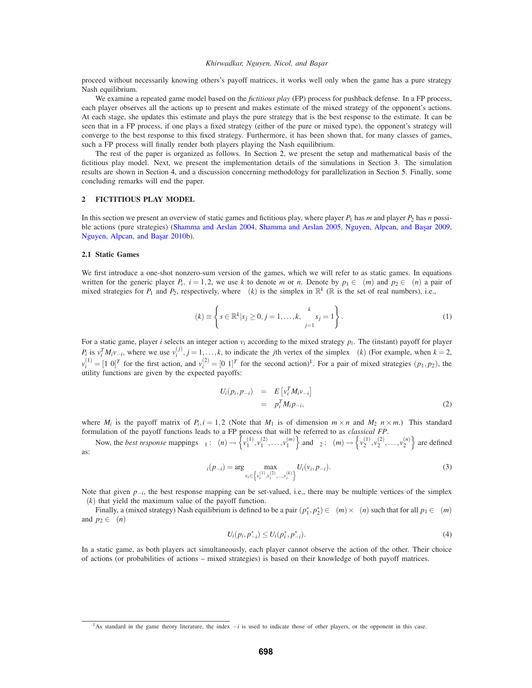#### *Khirwadkar, Nguyen, Nicol, and Başar*

proceed without necessarily knowing others's payoff matrices, it works well only when the game has a pure strategy Nash equilibrium.

We examine a repeated game model based on the *fictitious play* (FP) process for pushback defense. In a FP process, each player observes all the actions up to present and makes estimate of the mixed strategy of the opponent's actions. At each stage, she updates this estimate and plays the pure strategy that is the best response to the estimate. It can be seen that in a FP process, if one plays a fixed strategy (either of the pure or mixed type), the opponent's strategy will converge to the best response to this fixed strategy. Furthermore, it has been shown that, for many classes of games, such a FP process will finally render both players playing the Nash equilibrium.

The rest of the paper is organized as follows. In Section 2, we present the setup and mathematical basis of the fictitious play model. Next, we present the implementation details of the simulations in Section 3. The simulation results are shown in Section 4, and a discussion concerning methodology for parallelization in Section 5. Finally, some concluding remarks will end the paper.

## **2 FICTITIOUS PLAY MODEL**

In this section we present an overview of static games and fictitious play, where player  $P_1$  has *m* and player  $P_2$  has *n* possible actions (pure strategies) (Shamma and Arslan 2004, Shamma and Arslan 2005, Nguyen, Alpcan, and Başar 2009, Nguyen, Alpcan, and Başar 2010b).

### **2.1 Static Games**

We first introduce a one-shot nonzero-sum version of the games, which we will refer to as static games. In equations written for the generic player  $P_i$ ,  $i = 1, 2$ , we use k to denote *m* or *n*. Denote by  $p_1 \in \Delta(m)$  and  $p_2 \in \Delta(n)$  a pair of mixed strategies for *P*<sub>1</sub> and *P*<sub>2</sub>, respectively, where  $\Delta(k)$  is the simplex in  $\mathbb{R}^k$  ( $\mathbb{R}$  is the set of real numbers), i.e.,

$$
\Delta(k) \equiv \left\{ s \in \mathbb{R}^k | s_j \ge 0, j = 1, ..., k, \sum_{j=1}^k s_j = 1 \right\}.
$$
 (1)

For a static game, player *i* selects an integer action  $v_i$  according to the mixed strategy  $p_i$ . The (instant) payoff for player *P<sub>i</sub>* is  $v_i^T M_i v_{-i}$ , where we use  $v_i^{(j)}$ ,  $j = 1, ..., k$ , to indicate the *j*th vertex of the simplex  $\Delta(k)$  (For example, when  $k = 2$ ,  $v_i^{(1)} = [1 \ 0]^T$  for the first action, and  $v_i^{(2)} = [0 \ 1]^T$  for the second action)<sup>1</sup>. For a pair of mixed strategies  $(p_1, p_2)$ , the utility functions are given by the expected payoffs:

$$
U_i(p_i, p_{-i}) = E\left[v_i^T M_i v_{-i}\right]
$$
  
=  $p_i^T M_i p_{-i},$  (2)

where  $M_i$  is the payoff matrix of  $P_i$ ,  $i = 1,2$  (Note that  $M_1$  is of dimension  $m \times n$  and  $M_2$   $n \times m$ .) This standard formulation of the payoff functions leads to a FP process that will be referred to as *classical FP*.

Now, the *best response* mappings  $\beta_1 : \Delta(n) \rightarrow \left\{ v_1^{(1)}, v_1^{(2)}, \ldots, v_1^{(m)} \right\}$  and  $\beta_2 : \Delta(m) \rightarrow \left\{ v_2^{(1)}, v_2^{(2)}, \ldots, v_2^{(n)} \right\}$  are defined as:

$$
\beta_i(p_{-i}) = \arg \max_{v_i \in \left\{v_i^{(1)}, v_i^{(2)}, \dots, v_i^{(k)}\right\}} U_i(v_i, p_{-i}).
$$
\n(3)

Note that given *p*<sub>−*i*</sub>, the best response mapping can be set-valued, i.e., there may be multiple vertices of the simplex  $\Delta(k)$  that yield the maximum value of the payoff function.

Finally, a (mixed strategy) Nash equilibrium is defined to be a pair  $(p_1^*, p_2^*) \in \Delta(m) \times \Delta(n)$  such that for all  $p_1 \in \Delta(m)$ and  $p_2 \in \Delta(n)$ 

$$
U_i(p_i, p_{-i}^*) \le U_i(p_i^*, p_{-i}^*). \tag{4}
$$

In a static game, as both players act simultaneously, each player cannot observe the action of the other. Their choice of actions (or probabilities of actions – mixed strategies) is based on their knowledge of both payoff matrices.

<sup>1</sup>As standard in the game theory literature, the index −*i* is used to indicate those of other players, or the opponent in this case.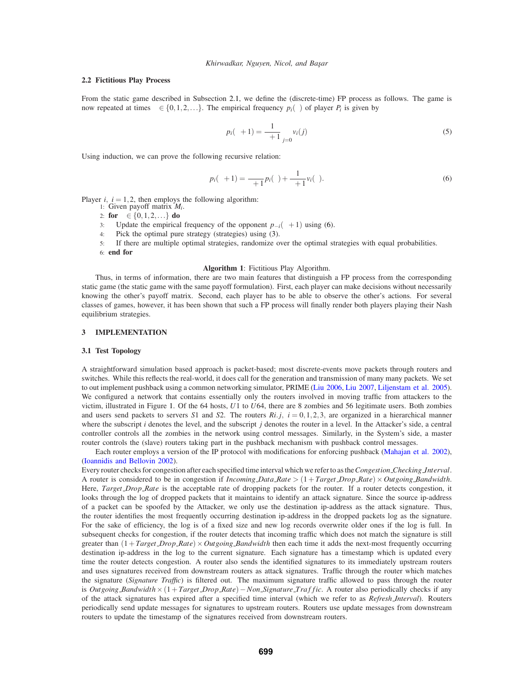## **2.2 Fictitious Play Process**

From the static game described in Subsection 2.1, we define the (discrete-time) FP process as follows. The game is now repeated at times  $\tau \in \{0, 1, 2, \ldots\}$ . The empirical frequency  $p_i(\tau)$  of player  $P_i$  is given by

$$
p_i(\tau + 1) = \frac{1}{\tau + 1} \sum_{j=0}^{\tau} v_i(j)
$$
 (5)

Using induction, we can prove the following recursive relation:

$$
p_i(\tau+1) = \frac{\tau}{\tau+1} p_i(\tau) + \frac{1}{\tau+1} v_i(\tau).
$$
\n
$$
(6)
$$

Player  $i$ ,  $i = 1, 2$ , then employs the following algorithm:

- 1: Given payoff matrix *Mi*.
- 2: **for**  $\tau \in \{0, 1, 2, ...\}$  **do**
- 3: Update the empirical frequency of the opponent  $p_{-i}(\tau + 1)$  using (6).
- 4: Pick the optimal pure strategy (strategies) using (3).
- 5: If there are multiple optimal strategies, randomize over the optimal strategies with equal probabilities. 6: **end for**

### **Algorithm 1**: Fictitious Play Algorithm.

Thus, in terms of information, there are two main features that distinguish a FP process from the corresponding static game (the static game with the same payoff formulation). First, each player can make decisions without necessarily knowing the other's payoff matrix. Second, each player has to be able to observe the other's actions. For several classes of games, however, it has been shown that such a FP process will finally render both players playing their Nash equilibrium strategies.

### **3 IMPLEMENTATION**

### **3.1 Test Topology**

A straightforward simulation based approach is packet-based; most discrete-events move packets through routers and switches. While this reflects the real-world, it does call for the generation and transmission of many many packets. We set to out implement pushback using a common networking simulator, PRIME (Liu 2006, Liu 2007, Liljenstam et al. 2005). We configured a network that contains essentially only the routers involved in moving traffic from attackers to the victim, illustrated in Figure 1. Of the 64 hosts, *U*1 to *U*64, there are 8 zombies and 56 legitimate users. Both zombies and users send packets to servers *S*1 and *S*2. The routers  $Ri$ ,  $i = 0, 1, 2, 3$ , are organized in a hierarchical manner where the subscript *i* denotes the level, and the subscript *j* denotes the router in a level. In the Attacker's side, a central controller controls all the zombies in the network using control messages. Similarly, in the System's side, a master router controls the (slave) routers taking part in the pushback mechanism with pushback control messages.

Each router employs a version of the IP protocol with modifications for enforcing pushback (Mahajan et al. 2002), (Ioannidis and Bellovin 2002).

Every router checks for congestion after each specified time interval which we refer to as the*Congestion Checking Interval*. A router is considered to be in congestion if *Incoming Data Rate* >  $(1+Target\_Drop\_Rate) \times Outgoing\_Bandwidth$ . Here, *Target Drop Rate* is the acceptable rate of dropping packets for the router. If a router detects congestion, it looks through the log of dropped packets that it maintains to identify an attack signature. Since the source ip-address of a packet can be spoofed by the Attacker, we only use the destination ip-address as the attack signature. Thus, the router identifies the most frequently occurring destination ip-address in the dropped packets log as the signature. For the sake of efficiency, the log is of a fixed size and new log records overwrite older ones if the log is full. In subsequent checks for congestion, if the router detects that incoming traffic which does not match the signature is still greater than  $(1+Target\textit{Drop} \textit{Rate}) \times Outgoing\textit{Bandwidth}$  then each time it adds the next-most frequently occurring destination ip-address in the log to the current signature. Each signature has a timestamp which is updated every time the router detects congestion. A router also sends the identified signatures to its immediately upstream routers and uses signatures received from downstream routers as attack signatures. Traffic through the router which matches the signature (*Signature Traffic*) is filtered out. The maximum signature traffic allowed to pass through the router is *Outgoing Bandwidth*×(1+*Target Drop Rate*)−*Non Signature Tra f f ic*. A router also periodically checks if any of the attack signatures has expired after a specified time interval (which we refer to as *Refresh Interval*). Routers periodically send update messages for signatures to upstream routers. Routers use update messages from downstream routers to update the timestamp of the signatures received from downstream routers.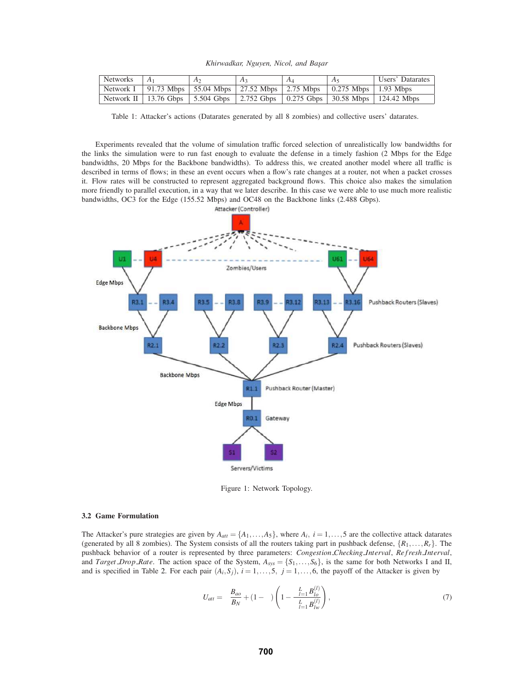| Networks | $AA_1$ | A <sub>2</sub>                                                                        | $A_3$ | A4 | $A_5$ | Users' Datarates                                                                          |
|----------|--------|---------------------------------------------------------------------------------------|-------|----|-------|-------------------------------------------------------------------------------------------|
|          |        | Network I   91.73 Mbps   55.04 Mbps   27.52 Mbps   2.75 Mbps   0.275 Mbps   1.93 Mbps |       |    |       |                                                                                           |
|          |        |                                                                                       |       |    |       | Network II   13.76 Gbps   5.504 Gbps   2.752 Gbps   0.275 Gbps   30.58 Mbps   124.42 Mbps |

Table 1: Attacker's actions (Datarates generated by all 8 zombies) and collective users' datarates.

Experiments revealed that the volume of simulation traffic forced selection of unrealistically low bandwidths for the links the simulation were to run fast enough to evaluate the defense in a timely fashion (2 Mbps for the Edge bandwidths, 20 Mbps for the Backbone bandwidths). To address this, we created another model where all traffic is described in terms of flows; in these an event occurs when a flow's rate changes at a router, not when a packet crosses it. Flow rates will be constructed to represent aggregated background flows. This choice also makes the simulation more friendly to parallel execution, in a way that we later describe. In this case we were able to use much more realistic bandwidths, OC3 for the Edge (155.52 Mbps) and OC48 on the Backbone links (2.488 Gbps).



Figure 1: Network Topology.

## **3.2 Game Formulation**

The Attacker's pure strategies are given by  $A_{att} = \{A_1, \ldots, A_5\}$ , where  $A_i$ ,  $i = 1, \ldots, 5$  are the collective attack datarates (generated by all 8 zombies). The System consists of all the routers taking part in pushback defense,  $\{R_1, \ldots, R_r\}$ . The pushback behavior of a router is represented by three parameters: *Congestion\_Checking\_Interval*, *Refresh\_Interval*, and *Target Drop Rate*. The action space of the System,  $A_{sys} = \{S_1, \ldots, S_6\}$ , is the same for both Networks I and II, and is specified in Table 2. For each pair  $(A_i, S_j)$ ,  $i = 1, \ldots, 5$ ,  $j = 1, \ldots, 6$ , the payoff of the Attacker is given by

$$
U_{att} = \alpha \frac{B_{ao}}{B_N} + (1 - \alpha) \left( 1 - \frac{\sum_{l=1}^{L} B_{lo}^{(l)}}{\sum_{l=1}^{L} B_{lw}^{(l)}} \right),\tag{7}
$$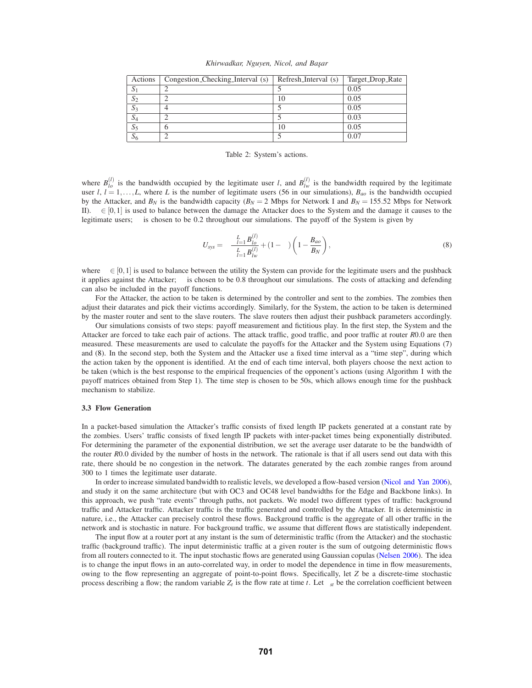| Actions | Congestion_Checking_Interval (s) $\vert$ Refresh_Interval (s) | Target_Drop_Rate |
|---------|---------------------------------------------------------------|------------------|
| 1 ل     |                                                               | 0.05             |
| $S_2$   |                                                               | 0.05             |
| $S_3$   | 4                                                             | 0.05             |
| $S_4$   |                                                               | 0.03             |
| $S_5$   | b                                                             | 0.05             |
| $S_6$   | ◠                                                             | 0.07             |

Table 2: System's actions.

where  $B_{l_o}^{(l)}$  is the bandwidth occupied by the legitimate user *l*, and  $B_{l_w}^{(l)}$  is the bandwidth required by the legitimate user *l*,  $l = 1, \ldots, L$ , where *L* is the number of legitimate users (56 in our simulations),  $B_{ao}$  is the bandwidth occupied by the Attacker, and  $B_N$  is the bandwidth capacity ( $B_N = 2$  Mbps for Network I and  $B_N = 155.52$  Mbps for Network II).  $\alpha \in [0,1]$  is used to balance between the damage the Attacker does to the System and the damage it causes to the legitimate users;  $\alpha$  is chosen to be 0.2 throughout our simulations. The payoff of the System is given by

$$
U_{sys} = \omega \frac{\sum_{l=1}^{L} B_{lo}^{(l)}}{\sum_{l=1}^{L} B_{lv}^{(l)}} + (1 - \omega) \left( 1 - \frac{B_{ao}}{B_N} \right),\tag{8}
$$

where  $\omega \in [0,1]$  is used to balance between the utility the System can provide for the legitimate users and the pushback it applies against the Attacker;  $\omega$  is chosen to be 0.8 throughout our simulations. The costs of attacking and defending can also be included in the payoff functions.

For the Attacker, the action to be taken is determined by the controller and sent to the zombies. The zombies then adjust their datarates and pick their victims accordingly. Similarly, for the System, the action to be taken is determined by the master router and sent to the slave routers. The slave routers then adjust their pushback parameters accordingly.

Our simulations consists of two steps: payoff measurement and fictitious play. In the first step, the System and the Attacker are forced to take each pair of actions. The attack traffic, good traffic, and poor traffic at router *R*0.0 are then measured. These measurements are used to calculate the payoffs for the Attacker and the System using Equations (7) and (8). In the second step, both the System and the Attacker use a fixed time interval as a "time step", during which the action taken by the opponent is identified. At the end of each time interval, both players choose the next action to be taken (which is the best response to the empirical frequencies of the opponent's actions (using Algorithm 1 with the payoff matrices obtained from Step 1). The time step is chosen to be 50s, which allows enough time for the pushback mechanism to stabilize.

### **3.3 Flow Generation**

In a packet-based simulation the Attacker's traffic consists of fixed length IP packets generated at a constant rate by the zombies. Users' traffic consists of fixed length IP packets with inter-packet times being exponentially distributed. For determining the parameter of the exponential distribution, we set the average user datarate to be the bandwidth of the router *R*0.0 divided by the number of hosts in the network. The rationale is that if all users send out data with this rate, there should be no congestion in the network. The datarates generated by the each zombie ranges from around 300 to 1 times the legitimate user datarate.

In order to increase simulated bandwidth to realistic levels, we developed a flow-based version (Nicol and Yan 2006), and study it on the same architecture (but with OC3 and OC48 level bandwidths for the Edge and Backbone links). In this approach, we push "rate events" through paths, not packets. We model two different types of traffic: background traffic and Attacker traffic. Attacker traffic is the traffic generated and controlled by the Attacker. It is deterministic in nature, i.e., the Attacker can precisely control these flows. Background traffic is the aggregate of all other traffic in the network and is stochastic in nature. For background traffic, we assume that different flows are statistically independent.

The input flow at a router port at any instant is the sum of deterministic traffic (from the Attacker) and the stochastic traffic (background traffic). The input deterministic traffic at a given router is the sum of outgoing deterministic flows from all routers connected to it. The input stochastic flows are generated using Gaussian copulas (Nelsen 2006). The idea is to change the input flows in an auto-correlated way, in order to model the dependence in time in flow measurements, owing to the flow representing an aggregate of point-to-point flows. Specifically, let *Z* be a discrete-time stochastic process describing a flow; the random variable  $Z_t$  is the flow rate at time *t*. Let  $\rho_{st}$  be the correlation coefficient between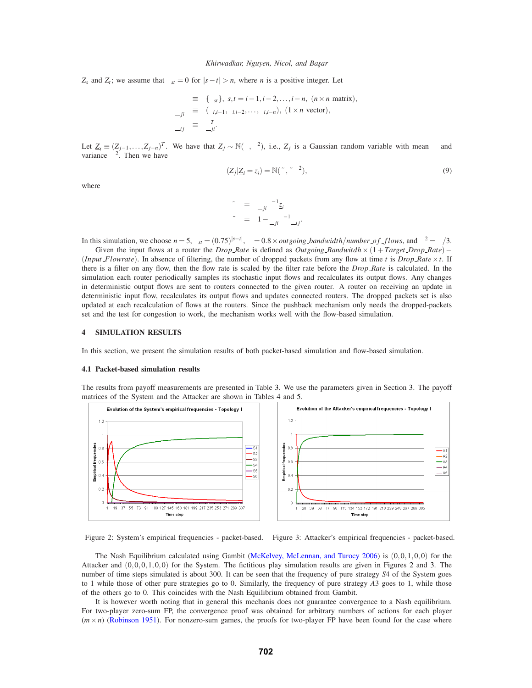#### *Khirwadkar, Nguyen, Nicol, and Başar*

*Z<sub>s</sub>* and *Z<sub>t</sub>*; we assume that  $\rho_{st} = 0$  for  $|s - t| > n$ , where *n* is a positive integer. Let

$$
\Sigma \equiv \{\rho_{st}\}, \ s, t = i - 1, i - 2, \dots, i - n, \ (n \times n \text{ matrix}),
$$
  
\n
$$
\underline{\rho}_{ji} \equiv (\rho_{i,i-1}, \rho_{i,i-2}, \dots, \rho_{i,i-n}), \ (1 \times n \text{ vector}),
$$
  
\n
$$
\underline{\rho}_{ij} \equiv \underline{\rho}_{ji}^T.
$$

Let  $\underline{Z}_i \equiv (Z_{j-1},...,Z_{j-n})^T$ . We have that  $Z_j \sim \mathbb{N}(\mu,\sigma^2)$ , i.e.,  $Z_j$  is a Gaussian random variable with mean  $\mu$  and variance  $\sigma^2$ . Then we have

$$
(Z_j | Z_i = \underline{z}_i) = \mathbb{N}(\tilde{\mu}, \tilde{\rho} \sigma^2),
$$
\n(9)

where

$$
\tilde{\mu} = \underline{\rho}_{ji} \Sigma^{-1} \underline{z}_i
$$
\n
$$
\tilde{\rho} = 1 - \underline{\rho}_{ji} \Sigma^{-1} \underline{\rho}_{ij}.
$$

In this simulation, we choose  $n = 5$ ,  $\rho_{st} = (0.75)^{|s-t|}$ ,  $\mu = 0.8 \times outgoing$  *bandwidth*/*number of flows*, and  $\sigma^2 = \mu/3$ .

Given the input flows at a router the *Drop\_Rate* is defined as *Outgoing\_Bandwitdh*×(1+*Target\_Drop\_Rate*)− (*Input Flowrate*). In absence of filtering, the number of dropped packets from any flow at time *t* is *Drop Rate*  $\times t$ . If there is a filter on any flow, then the flow rate is scaled by the filter rate before the *Drop Rate* is calculated. In the simulation each router periodically samples its stochastic input flows and recalculates its output flows. Any changes in deterministic output flows are sent to routers connected to the given router. A router on receiving an update in deterministic input flow, recalculates its output flows and updates connected routers. The dropped packets set is also updated at each recalculation of flows at the routers. Since the pushback mechanism only needs the dropped-packets set and the test for congestion to work, the mechanism works well with the flow-based simulation.

### **4 SIMULATION RESULTS**

In this section, we present the simulation results of both packet-based simulation and flow-based simulation.

#### **4.1 Packet-based simulation results**

The results from payoff measurements are presented in Table 3. We use the parameters given in Section 3. The payoff matrices of the System and the Attacker are shown in Tables 4 and 5.



Figure 2: System's empirical frequencies - packet-based. Figure 3: Attacker's empirical frequencies - packet-based.

The Nash Equilibrium calculated using Gambit (McKelvey, McLennan, and Turocy 2006) is (0,0,1,0,0) for the Attacker and (0,0,0,1,0,0) for the System. The fictitious play simulation results are given in Figures 2 and 3. The number of time steps simulated is about 300. It can be seen that the frequency of pure strategy *S*4 of the System goes to 1 while those of other pure strategies go to 0. Similarly, the frequency of pure strategy *A*3 goes to 1, while those of the others go to 0. This coincides with the Nash Equilibrium obtained from Gambit.

It is however worth noting that in general this mechanis does not guarantee convergence to a Nash equilibrium. For two-player zero-sum FP, the convergence proof was obtained for arbitrary numbers of actions for each player  $(m \times n)$  (Robinson 1951). For nonzero-sum games, the proofs for two-player FP have been found for the case where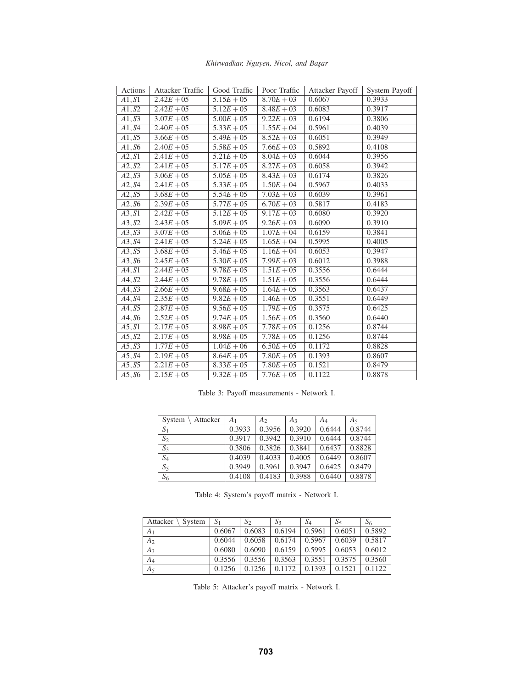| Khirwadkar, Nguyen, Nicol, and Başar |  |  |  |  |
|--------------------------------------|--|--|--|--|
|--------------------------------------|--|--|--|--|

| Actions             | Attacker Traffic | Good Traffic            | Poor Traffic | Attacker Payoff | System Payoff |
|---------------------|------------------|-------------------------|--------------|-----------------|---------------|
| A1, S1              | $2.42E + 05$     | $5.15E + 05$            | $8.70E + 03$ | 0.6067          | 0.3933        |
| A1, S2              | $2.42E + 05$     | $5.12E + 05$            | $8.48E + 03$ | 0.6083          | 0.3917        |
| A1, S3              | $3.07E + 05$     | $5.00E + 05$            | $9.22E + 03$ | 0.6194          | 0.3806        |
| $A1,\overline{S4}$  | $2.40E + 05$     | $5.33E + 05$            | $1.55E + 04$ | 0.5961          | 0.4039        |
| A1, S5              | $3.66E + 05$     | $5.49E + 05$            | $8.52E + 03$ | 0.6051          | 0.3949        |
| A1, S6              | $2.40E + 05$     | $5.58E + 05$            | $7.66E + 03$ | 0.5892          | 0.4108        |
| A2, S1              | $2.41E + 05$     | $5.21E + 05$            | $8.04E + 03$ | 0.6044          | 0.3956        |
| A2, S2              | $2.41E + 05$     | $5.17E + 05$            | $8.27E + 03$ | 0.6058          | 0.3942        |
| $A2, \overline{S3}$ | $3.06E + 05$     | $5.05E + 05$            | $8.43E + 03$ | 0.6174          | 0.3826        |
| A2, S4              | $2.41E + 05$     | $\overline{5.33E} + 05$ | $1.50E + 04$ | 0.5967          | 0.4033        |
| A2, S5              | $3.68E + 05$     | $5.54E + 05$            | $7.03E + 03$ | 0.6039          | 0.3961        |
| $A2,\overline{S6}$  | $2.39E + 05$     | $5.77E + 05$            | $6.70E + 03$ | 0.5817          | 0.4183        |
| A3, S1              | $2.42E + 05$     | $5.12E + 05$            | $9.17E + 03$ | 0.6080          | 0.3920        |
| A3, S2              | $2.43E + 05$     | $5.09E + 05$            | $9.26E + 03$ | 0.6090          | 0.3910        |
| A3, S3              | $3.07E + 05$     | $5.06E + 05$            | $1.07E + 04$ | 0.6159          | 0.3841        |
| A3, S4              | $2.41E + 05$     | $5.24E + 05$            | $1.65E + 04$ | 0.5995          | 0.4005        |
| A3, S5              | $3.68E + 05$     | $5.46E + 05$            | $1.16E + 04$ | 0.6053          | 0.3947        |
| A3, S6              | $2.45E + 05$     | $5.30E + 05$            | $7.99E + 03$ | 0.6012          | 0.3988        |
| A4, S1              | $2.44E + 05$     | $9.78E + 05$            | $1.51E + 05$ | 0.3556          | 0.6444        |
| A4, S2              | $2.44E + 05$     | $9.78E + 05$            | $1.51E + 05$ | 0.3556          | 0.6444        |
| A4, S3              | $2.66E + 05$     | $9.68E + 05$            | $1.64E + 05$ | 0.3563          | 0.6437        |
| A4, S4              | $2.35E + 05$     | $9.82E + 05$            | $1.46E + 05$ | 0.3551          | 0.6449        |
| A4, S5              | $2.87E + 05$     | $9.56E + 05$            | $1.79E + 05$ | 0.3575          | 0.6425        |
| A4, S6              | $2.52E + 05$     | $9.74E + 05$            | $1.56E + 05$ | 0.3560          | 0.6440        |
| A5, S1              | $2.17E + 05$     | $8.98E + 05$            | $7.78E + 05$ | 0.1256          | 0.8744        |
| A5, S2              | $2.17E + 05$     | $8.98E + 05$            | $7.78E + 05$ | 0.1256          | 0.8744        |
| A5, S3              | $1.77E + 05$     | $1.04E + 06$            | $6.50E + 05$ | 0.1172          | 0.8828        |
| A5, S4              | $2.19E + 05$     | $8.64E + 05$            | $7.80E + 05$ | 0.1393          | 0.8607        |
| A5, S5              | $2.21E + 05$     | $8.33E + 05$            | $7.80E + 05$ | 0.1521          | 0.8479        |
| A5, S6              | $2.15E + 05$     | $9.32E + 05$            | $7.76E + 05$ | 0.1122          | 0.8878        |

Table 3: Payoff measurements - Network I.

| Attacker<br>System | A <sub>1</sub> | A <sub>2</sub> | $A_3$  | A4     | $A_5$  |
|--------------------|----------------|----------------|--------|--------|--------|
| $S_1$              | 0.3933         | 0.3956         | 0.3920 | 0.6444 | 0.8744 |
| $S_2$              | 0.3917         | 0.3942         | 0.3910 | 0.6444 | 0.8744 |
| $S_3$              | 0.3806         | 0.3826         | 0.3841 | 0.6437 | 0.8828 |
| $S_4$              | 0.4039         | 0.4033         | 0.4005 | 0.6449 | 0.8607 |
| $S_5$              | 0.3949         | 0.3961         | 0.3947 | 0.6425 | 0.8479 |
| $S_6$              | 0.4108         | 0.4183         | 0.3988 | 0.6440 | 0.8878 |

Table 4: System's payoff matrix - Network I.

| Attacker<br>System | $S_1$  | $S_2$  | $S_3$  | $S_4$  | S5     | $S_6$  |
|--------------------|--------|--------|--------|--------|--------|--------|
| A <sub>1</sub>     | 0.6067 | 0.6083 | 0.6194 | 0.5961 | 0.6051 | 0.5892 |
| A <sub>2</sub>     | 0.6044 | 0.6058 | 0.6174 | 0.5967 | 0.6039 | 0.5817 |
| $A_3$              | 0.6080 | 0.6090 | 0.6159 | 0.5995 | 0.6053 | 0.6012 |
| $A_4$              | 0.3556 | 0.3556 | 0.3563 | 0.3551 | 0.3575 | 0.3560 |
| $A_5$              | 0.1256 | 0.1256 | 0.1172 | 0.1393 | 0.1521 | 0.1122 |

Table 5: Attacker's payoff matrix - Network I.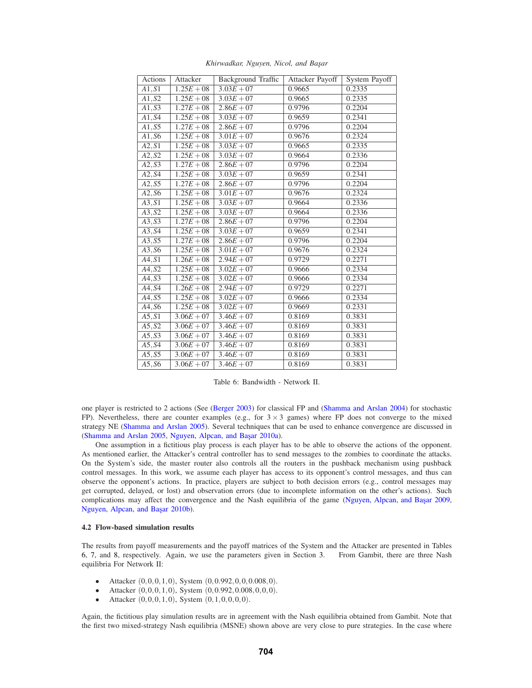| Actions             | Attacker     | <b>Background Traffic</b> | Attacker Payoff | System Payoff |
|---------------------|--------------|---------------------------|-----------------|---------------|
| $\overline{A1, S1}$ | $1.25E + 08$ | $3.03E + 07$              | 0.9665          | 0.2335        |
| A1, S2              | $1.25E + 08$ | $3.03E + 07$              | 0.9665          | 0.2335        |
| A1, S3              | $1.27E + 08$ | $2.86E + 07$              | 0.9796          | 0.2204        |
| $A1,\overline{S4}$  | $1.25E + 08$ | $3.03E + 07$              | 0.9659          | 0.2341        |
| A1, S5              | $1.27E + 08$ | $2.86E + 07$              | 0.9796          | 0.2204        |
| A1, S6              | $1.25E + 08$ | $3.01E + 07$              | 0.9676          | 0.2324        |
| A2, S1              | $1.25E + 08$ | $3.03E + 07$              | 0.9665          | 0.2335        |
| A2, S2              | $1.25E + 08$ | $3.03E + 07$              | 0.9664          | 0.2336        |
| A2, S3              | $1.27E + 08$ | $2.86E + 07$              | 0.9796          | 0.2204        |
| A2, S4              | $1.25E + 08$ | $3.03E + 07$              | 0.9659          | 0.2341        |
| A2, S5              | $1.27E + 08$ | $2.86E + 07$              | 0.9796          | 0.2204        |
| A2, S6              | $1.25E + 08$ | $3.01E + 07$              | 0.9676          | 0.2324        |
| A3, S1              | $1.25E + 08$ | $3.03E + 07$              | 0.9664          | 0.2336        |
| A3, S2              | $1.25E + 08$ | $3.03E + 07$              | 0.9664          | 0.2336        |
| A3, S3              | $1.27E + 08$ | $2.86E + 07$              | 0.9796          | 0.2204        |
| A3, S4              | $1.25E + 08$ | $3.03E + 07$              | 0.9659          | 0.2341        |
| A3, S5              | $1.27E + 08$ | $2.86E + 07$              | 0.9796          | 0.2204        |
| A3, S6              | $1.25E + 08$ | $\overline{3.01E} + 07$   | 0.9676          | 0.2324        |
| A4, S1              | $1.26E + 08$ | $2.94E + 07$              | 0.9729          | 0.2271        |
| A4, S2              | $1.25E + 08$ | $3.02E + 07$              | 0.9666          | 0.2334        |
| A4, S3              | $1.25E + 08$ | $3.02E + 07$              | 0.9666          | 0.2334        |
| A4, S4              | $1.26E + 08$ | $2.94E + 07$              | 0.9729          | 0.2271        |
| A4, S5              | $1.25E + 08$ | $3.02E + 07$              | 0.9666          | 0.2334        |
| A4, S6              | $1.25E + 08$ | $3.02E + 07$              | 0.9669          | 0.2331        |
| A5, S1              | $3.06E + 07$ | $3.46E + 07$              | 0.8169          | 0.3831        |
| A5, S2              | $3.06E + 07$ | $3.46E + 07$              | 0.8169          | 0.3831        |
| A5, S3              | $3.06E + 07$ | $3.46E + 07$              | 0.8169          | 0.3831        |
| A5, S4              | $3.06E + 07$ | $3.46E + 07$              | 0.8169          | 0.3831        |
| A5, S5              | $3.06E + 07$ | $3.46E + 07$              | 0.8169          | 0.3831        |
| A5, S6              | $3.06E + 07$ | $3.46E + 07$              | 0.8169          | 0.3831        |

*Khirwadkar, Nguyen, Nicol, and Bas¸ar*

Table 6: Bandwidth - Network II.

one player is restricted to 2 actions (See (Berger 2003) for classical FP and (Shamma and Arslan 2004) for stochastic FP). Nevertheless, there are counter examples (e.g., for  $3 \times 3$  games) where FP does not converge to the mixed strategy NE (Shamma and Arslan 2005). Several techniques that can be used to enhance convergence are discussed in (Shamma and Arslan 2005, Nguyen, Alpcan, and Başar 2010a).

One assumption in a fictitious play process is each player has to be able to observe the actions of the opponent. As mentioned earlier, the Attacker's central controller has to send messages to the zombies to coordinate the attacks. On the System's side, the master router also controls all the routers in the pushback mechanism using pushback control messages. In this work, we assume each player has access to its opponent's control messages, and thus can observe the opponent's actions. In practice, players are subject to both decision errors (e.g., control messages may get corrupted, delayed, or lost) and observation errors (due to incomplete information on the other's actions). Such complications may affect the convergence and the Nash equilibria of the game (Nguyen, Alpcan, and Basar 2009, Nguyen, Alpcan, and Başar 2010b).

## **4.2 Flow-based simulation results**

The results from payoff measurements and the payoff matrices of the System and the Attacker are presented in Tables 6, 7, and 8, respectively. Again, we use the parameters given in Section 3. From Gambit, there are three Nash equilibria For Network II:

- Attacker  $(0,0,0,1,0)$ , System  $(0,0.992,0,0,0.008,0)$ .
- Attacker  $(0,0,0,1,0)$ , System  $(0,0.992,0.008,0,0,0)$ .
- Attacker  $(0,0,0,1,0)$ , System  $(0,1,0,0,0,0)$ .

Again, the fictitious play simulation results are in agreement with the Nash equilibria obtained from Gambit. Note that the first two mixed-strategy Nash equilibria (MSNE) shown above are very close to pure strategies. In the case where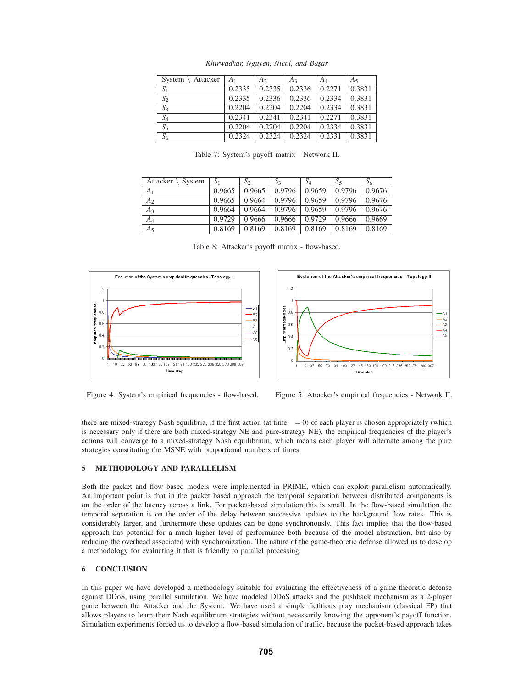| Attacker<br>System | A <sub>1</sub> | A <sub>2</sub> | $A_3$  | A4     | $A_5$  |
|--------------------|----------------|----------------|--------|--------|--------|
| S <sub>1</sub>     | 0.2335         | 0.2335         | 0.2336 | 0.2271 | 0.3831 |
| $S_2$              | 0.2335         | 0.2336         | 0.2336 | 0.2334 | 0.3831 |
| $S_3$              | 0.2204         | 0.2204         | 0.2204 | 0.2334 | 0.3831 |
| $S_4$              | 0.2341         | 0.2341         | 0.2341 | 0.2271 | 0.3831 |
| $S_5$              | 0.2204         | 0.2204         | 0.2204 | 0.2334 | 0.3831 |
| $S_6$              | 0.2324         | 0.2324         | 0.2324 | 0.2331 | 0.3831 |

*Khirwadkar, Nguyen, Nicol, and Bas¸ar*

Table 7: System's payoff matrix - Network II.

| Attacker<br>System | $S_1$  | $S_2$  | $S_3$  | $S_4$  | $S_5$  | $S_6$  |
|--------------------|--------|--------|--------|--------|--------|--------|
| A <sub>1</sub>     | 0.9665 | 0.9665 | 0.9796 | 0.9659 | 0.9796 | 0.9676 |
| A <sub>2</sub>     | 0.9665 | 0.9664 | 0.9796 | 0.9659 | 0.9796 | 0.9676 |
| $A_3$              | 0.9664 | 0.9664 | 0.9796 | 0.9659 | 0.9796 | 0.9676 |
| $A_4$              | 0.9729 | 0.9666 | 0.9666 | 0.9729 | 0.9666 | 0.9669 |
| A <sub>5</sub>     | 0.8169 | 0.8169 | 0.8169 | 0.8169 | 0.8169 | 0.8169 |

Table 8: Attacker's payoff matrix - flow-based.





Figure 4: System's empirical frequencies - flow-based. Figure 5: Attacker's empirical frequencies - Network II.

there are mixed-strategy Nash equilibria, if the first action (at time  $\tau = 0$ ) of each player is chosen appropriately (which is necessary only if there are both mixed-strategy NE and pure-strategy NE), the empirical frequencies of the player's actions will converge to a mixed-strategy Nash equilibrium, which means each player will alternate among the pure strategies constituting the MSNE with proportional numbers of times.

## **5 METHODOLOGY AND PARALLELISM**

Both the packet and flow based models were implemented in PRIME, which can exploit parallelism automatically. An important point is that in the packet based approach the temporal separation between distributed components is on the order of the latency across a link. For packet-based simulation this is small. In the flow-based simulation the temporal separation is on the order of the delay between successive updates to the background flow rates. This is considerably larger, and furthermore these updates can be done synchronously. This fact implies that the flow-based approach has potential for a much higher level of performance both because of the model abstraction, but also by reducing the overhead associated with synchronization. The nature of the game-theoretic defense allowed us to develop a methodology for evaluating it that is friendly to parallel processing.

# **6 CONCLUSION**

In this paper we have developed a methodology suitable for evaluating the effectiveness of a game-theoretic defense against DDoS, using parallel simulation. We have modeled DDoS attacks and the pushback mechanism as a 2-player game between the Attacker and the System. We have used a simple fictitious play mechanism (classical FP) that allows players to learn their Nash equilibrium strategies without necessarily knowing the opponent's payoff function. Simulation experiments forced us to develop a flow-based simulation of traffic, because the packet-based approach takes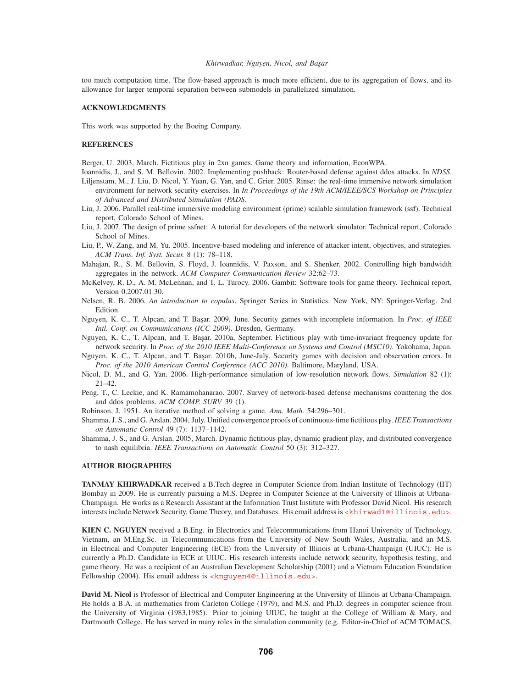#### *Khirwadkar, Nguyen, Nicol, and Bas¸ar*

too much computation time. The flow-based approach is much more efficient, due to its aggregation of flows, and its allowance for larger temporal separation between submodels in parallelized simulation.

### **ACKNOWLEDGMENTS**

This work was supported by the Boeing Company.

## **REFERENCES**

Berger, U. 2003, March. Fictitious play in 2xn games. Game theory and information, EconWPA.

- Ioannidis, J., and S. M. Bellovin. 2002. Implementing pushback: Router-based defense against ddos attacks. In *NDSS*.
- Liljenstam, M., J. Liu, D. Nicol, Y. Yuan, G. Yan, and C. Grier. 2005. Rinse: the real-time immersive network simulation environment for network security exercises. In *In Proceedings of the 19th ACM/IEEE/SCS Workshop on Principles of Advanced and Distributed Simulation (PADS*.
- Liu, J. 2006. Parallel real-time immersive modeling environment (prime) scalable simulation framework (ssf). Technical report, Colorado School of Mines.
- Liu, J. 2007. The design of prime ssfnet: A tutorial for developers of the network simulator. Technical report, Colorado School of Mines.
- Liu, P., W. Zang, and M. Yu. 2005. Incentive-based modeling and inference of attacker intent, objectives, and strategies. *ACM Trans. Inf. Syst. Secur.* 8 (1): 78–118.
- Mahajan, R., S. M. Bellovin, S. Floyd, J. Ioannidis, V. Paxson, and S. Shenker. 2002. Controlling high bandwidth aggregates in the network. *ACM Computer Communication Review* 32:62–73.
- McKelvey, R. D., A. M. McLennan, and T. L. Turocy. 2006. Gambit: Software tools for game theory. Technical report, Version 0.2007.01.30.
- Nelsen, R. B. 2006. *An introduction to copulas*. Springer Series in Statistics. New York, NY: Springer-Verlag. 2nd Edition.
- Nguyen, K. C., T. Alpcan, and T. Başar. 2009, June. Security games with incomplete information. In *Proc. of IEEE Intl. Conf. on Communications (ICC 2009)*. Dresden, Germany.
- Nguyen, K. C., T. Alpcan, and T. Başar. 2010a, September. Fictitious play with time-invariant frequency update for network security. In *Proc. of the 2010 IEEE Multi-Conference on Systems and Control (MSC10)*. Yokohama, Japan.
- Nguyen, K. C., T. Alpcan, and T. Başar. 2010b, June-July. Security games with decision and observation errors. In *Proc. of the 2010 American Control Conference (ACC 2010)*. Baltimore, Maryland, USA.
- Nicol, D. M., and G. Yan. 2006. High-performance simulation of low-resolution network flows. *Simulation* 82 (1): 21–42.
- Peng, T., C. Leckie, and K. Ramamohanarao. 2007. Survey of network-based defense mechanisms countering the dos and ddos problems. *ACM COMP. SURV* 39 (1).
- Robinson, J. 1951. An iterative method of solving a game. *Ann. Math.* 54:296–301.

Shamma, J. S., and G. Arslan. 2004, July. Unified convergence proofs of continuous-time fictitious play. *IEEE Transactions on Automatic Control* 49 (7): 1137–1142.

Shamma, J. S., and G. Arslan. 2005, March. Dynamic fictitious play, dynamic gradient play, and distributed convergence to nash equilibria. *IEEE Transactions on Automatic Control* 50 (3): 312–327.

### **AUTHOR BIOGRAPHIES**

**TANMAY KHIRWADKAR** received a B.Tech degree in Computer Science from Indian Institute of Technology (IIT) Bombay in 2009. He is currently pursuing a M.S. Degree in Computer Science at the University of Illinois at Urbana-Champaign. He works as a Research Assistant at the Information Trust Institute with Professor David Nicol. His research interests include Network Security, Game Theory, and Databases. His email address is <khirwad1@illinois.edu>.

**KIEN C. NGUYEN** received a B.Eng. in Electronics and Telecommunications from Hanoi University of Technology, Vietnam, an M.Eng.Sc. in Telecommunications from the University of New South Wales, Australia, and an M.S. in Electrical and Computer Engineering (ECE) from the University of Illinois at Urbana-Champaign (UIUC). He is currently a Ph.D. Candidate in ECE at UIUC. His research interests include network security, hypothesis testing, and game theory. He was a recipient of an Australian Development Scholarship (2001) and a Vietnam Education Foundation Fellowship (2004). His email address is <knguyen4@illinois.edu>.

**David M. Nicol** is Professor of Electrical and Computer Engineering at the University of Illinois at Urbana-Champaign. He holds a B.A. in mathematics from Carleton College (1979), and M.S. and Ph.D. degrees in computer science from the University of Virginia (1983,1985). Prior to joining UIUC, he taught at the College of William & Mary, and Dartmouth College. He has served in many roles in the simulation community (e.g. Editor-in-Chief of ACM TOMACS,